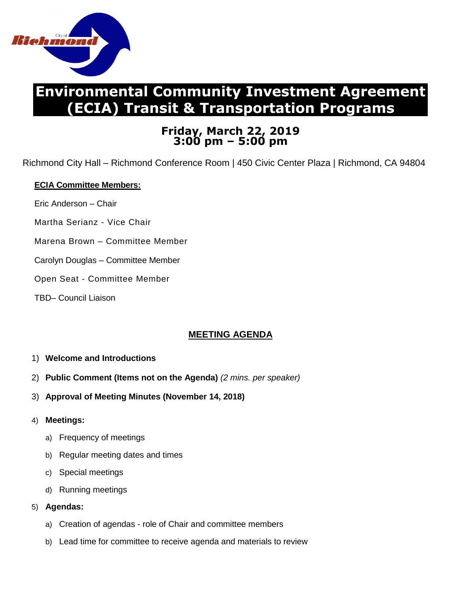

# **Environmental Community Investment Agreement (ECIA) Transit & Transportation Programs**

## **Friday, March 22, 2019 3:00 pm – 5:00 pm**

Richmond City Hall – Richmond Conference Room | 450 Civic Center Plaza | Richmond, CA 94804

### **ECIA Committee Members:**

- Eric Anderson Chair
- Martha Serianz Vice Chair
- Marena Brown Committee Member
- Carolyn Douglas Committee Member
- Open Seat Committee Member
- TBD– Council Liaison

## **MEETING AGENDA**

- 1) **Welcome and Introductions**
- 2) **Public Comment (Items not on the Agenda)** *(2 mins. per speaker)*
- 3) **Approval of Meeting Minutes (November 14, 2018)**
- 4) **Meetings:**
	- a) Frequency of meetings
	- b) Regular meeting dates and times
	- c) Special meetings
	- d) Running meetings
- 5) **Agendas:**
	- a) Creation of agendas role of Chair and committee members
	- b) Lead time for committee to receive agenda and materials to review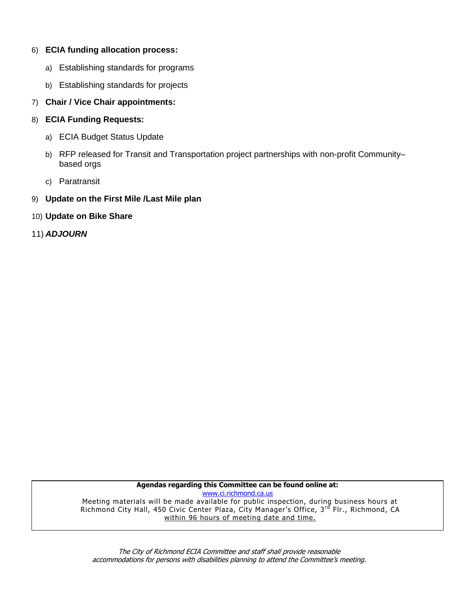#### 6) **ECIA funding allocation process:**

- a) Establishing standards for programs
- b) Establishing standards for projects

#### 7) **Chair / Vice Chair appointments:**

- 8) **ECIA Funding Requests:**
	- a) ECIA Budget Status Update
	- b) RFP released for Transit and Transportation project partnerships with non-profit Communitybased orgs
	- c) Paratransit
- 9) **Update on the First Mile /Last Mile plan**
- 10) **Update on Bike Share**
- 11) *ADJOURN*

**Agendas regarding this Committee can be found online at:** [www.ci.richmond.ca.us](http://www.ci.richmond.ca.us/) Meeting materials will be made available for public inspection, during business hours at Richmond City Hall, 450 Civic Center Plaza, City Manager's Office, 3rd Flr., Richmond, CA within 96 hours of meeting date and time.

The City of Richmond ECIA Committee and staff shall provide reasonable accommodations for persons with disabilities planning to attend the Committee's meeting.